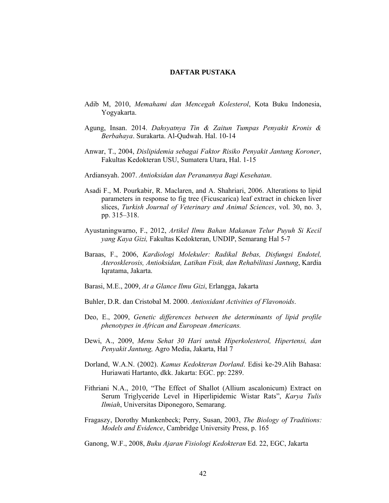## **DAFTAR PUSTAKA**

- Adib M, 2010, *Memahami dan Mencegah Kolesterol*, Kota Buku Indonesia, Yogyakarta.
- Agung, Insan. 2014. *Dahsyatnya Tin & Zaitun Tumpas Penyakit Kronis & Berbahaya*. Surakarta. Al-Qudwah. Hal. 10-14
- Anwar, T., 2004, *Dislipidemia sebagai Faktor Risiko Penyakit Jantung Koroner*, Fakultas Kedokteran USU, Sumatera Utara, Hal. 1-15
- Ardiansyah. 2007. *Antioksidan dan Peranannya Bagi Kesehatan*.
- Asadi F., M. Pourkabir, R. Maclaren, and A. Shahriari, 2006. Alterations to lipid parameters in response to fig tree (Ficuscarica) leaf extract in chicken liver slices, *Turkish Journal of Veterinary and Animal Sciences*, vol. 30, no. 3, pp. 315–318.
- Ayustaningwarno, F., 2012, *Artikel Ilmu Bahan Makanan Telur Puyuh Si Kecil yang Kaya Gizi,* Fakultas Kedokteran, UNDIP, Semarang Hal 5-7
- Baraas, F., 2006, *Kardiologi Molekuler: Radikal Bebas, Disfungsi Endotel, Aterosklerosis, Antioksidan, Latihan Fisik, dan Rehabilitasi Jantung*, Kardia Iqratama, Jakarta.
- Barasi, M.E., 2009, *At a Glance Ilmu Gizi*, Erlangga, Jakarta
- Buhler, D.R. dan Cristobal M. 2000. *Antioxidant Activities of Flavonoids*.
- Deo, E., 2009, *Genetic differences between the determinants of lipid profile phenotypes in African and European Americans.*
- Dewi, A., 2009, *Menu Sehat 30 Hari untuk Hiperkolesterol, Hipertensi, dan Penyakit Jantung,* Agro Media, Jakarta, Hal 7
- Dorland, W.A.N. (2002). *Kamus Kedokteran Dorland*. Edisi ke-29.Alih Bahasa: Huriawati Hartanto, dkk. Jakarta: EGC. pp: 2289.
- Fithriani N.A., 2010, "The Effect of Shallot (Allium ascalonicum) Extract on Serum Triglyceride Level in Hiperlipidemic Wistar Rats", *Karya Tulis Ilmiah*, Universitas Diponegoro, Semarang.
- Fragaszy, Dorothy Munkenbeck; Perry, Susan, 2003, *The Biology of Traditions: Models and Evidence*, Cambridge University Press, p. 165

Ganong, W.F., 2008, *Buku Ajaran Fisiologi Kedokteran* Ed. 22, EGC, Jakarta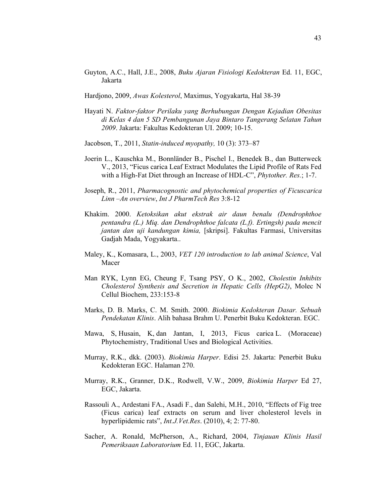- Guyton, A.C., Hall, J.E., 2008, *Buku Ajaran Fisiologi Kedokteran* Ed. 11, EGC, Jakarta
- Hardjono, 2009, *Awas Kolesterol*, Maximus, Yogyakarta, Hal 38-39
- Hayati N. *Faktor-faktor Perilaku yang Berhubungan Dengan Kejadian Obesitas di Kelas 4 dan 5 SD Pembangunan Jaya Bintaro Tangerang Selatan Tahun 2009*. Jakarta: Fakultas Kedokteran UI. 2009; 10-15.
- Jacobson, T., 2011, *Statin-induced myopathy,* 10 (3): 373–87
- Joerin L., Kauschka M., Bonnländer B., Pischel I., Benedek B., dan Butterweck V., 2013, "Ficus carica Leaf Extract Modulates the Lipid Profile of Rats Fed with a High-Fat Diet through an Increase of HDL-C", *Phytother. Res.*; 1-7.
- Joseph, R., 2011, *Pharmacognostic and phytochemical properties of Ficuscarica Linn –An overview*, *Int J PharmTech Res* 3:8-12
- Khakim. 2000. *Ketoksikan akut ekstrak air daun benalu (Dendrophthoe pentandra (L.) Miq. dan Dendrophthoe falcata (L.f). Ertingsh) pada mencit jantan dan uji kandungan kimia,* [skripsi]. Fakultas Farmasi, Universitas Gadjah Mada, Yogyakarta..
- Maley, K., Komasara, L., 2003, *VET 120 introduction to lab animal Science*, Val Macer
- Man RYK, Lynn EG, Cheung F, Tsang PSY, O K., 2002, *Cholestin Inhibits Cholesterol Synthesis and Secretion in Hepatic Cells (HepG2)*, Molec N Cellul Biochem, 233:153-8
- Marks, D. B. Marks, C. M. Smith. 2000. *Biokimia Kedokteran Dasar. Sebuah Pendekatan Klinis*. Alih bahasa Brahm U. Penerbit Buku Kedokteran. EGC.
- Mawa, S, Husain, K, dan Jantan, I, 2013, Ficus carica L. (Moraceae) Phytochemistry, Traditional Uses and Biological Activities.
- Murray, R.K., dkk. (2003). *Biokimia Harper*. Edisi 25. Jakarta: Penerbit Buku Kedokteran EGC. Halaman 270.
- Murray, R.K., Granner, D.K., Rodwell, V.W., 2009, *Biokimia Harper* Ed 27, EGC, Jakarta.
- Rassouli A., Ardestani FA., Asadi F., dan Salehi, M.H., 2010, "Effects of Fig tree (Ficus carica) leaf extracts on serum and liver cholesterol levels in hyperlipidemic rats", *Int.J.Vet.Res*. (2010), 4; 2: 77-80.
- Sacher, A. Ronald, McPherson, A., Richard, 2004, *Tinjauan Klinis Hasil Pemeriksaan Laboratorium* Ed. 11, EGC, Jakarta.